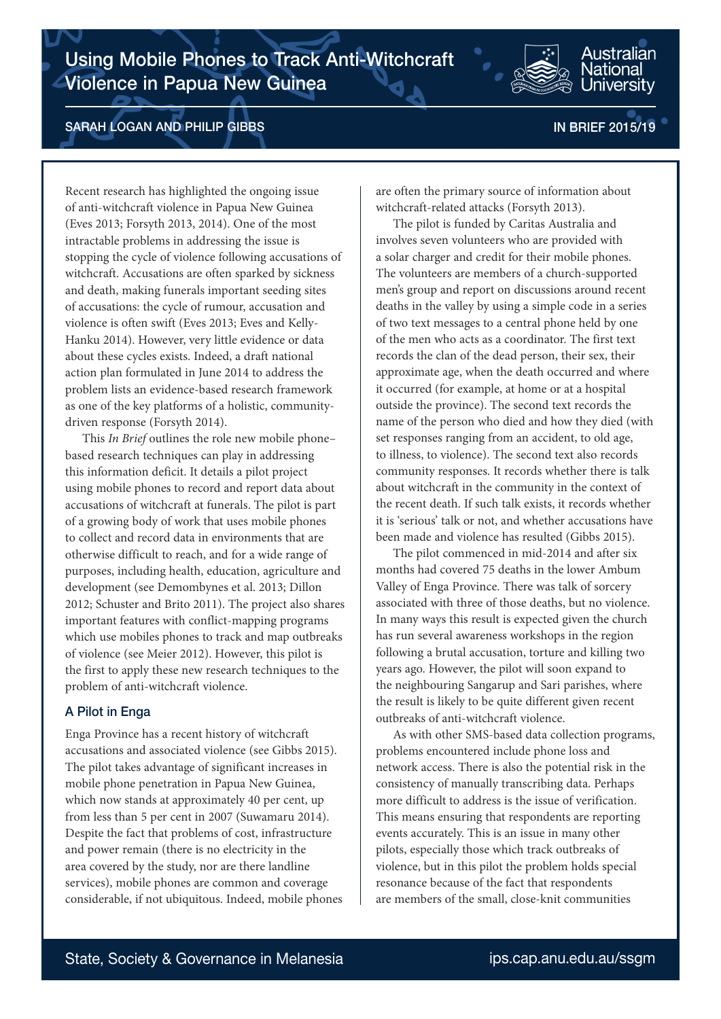

# SARAH LOGAN AND PHILIP GIBBS IN BRIEF 2015/19

Australian **Jational** Jniversity

Recent research has highlighted the ongoing issue of anti-witchcraft violence in Papua New Guinea (Eves 2013; Forsyth 2013, 2014). One of the most intractable problems in addressing the issue is stopping the cycle of violence following accusations of witchcraft. Accusations are often sparked by sickness and death, making funerals important seeding sites of accusations: the cycle of rumour, accusation and violence is often swift (Eves 2013; Eves and Kelly-Hanku 2014). However, very little evidence or data about these cycles exists. Indeed, a draft national action plan formulated in June 2014 to address the problem lists an evidence-based research framework as one of the key platforms of a holistic, communitydriven response (Forsyth 2014).

This *In Brief* outlines the role new mobile phone– based research techniques can play in addressing this information deficit. It details a pilot project using mobile phones to record and report data about accusations of witchcraft at funerals. The pilot is part of a growing body of work that uses mobile phones to collect and record data in environments that are otherwise difficult to reach, and for a wide range of purposes, including health, education, agriculture and development (see Demombynes et al. 2013; Dillon 2012; Schuster and Brito 2011). The project also shares important features with conflict-mapping programs which use mobiles phones to track and map outbreaks of violence (see Meier 2012). However, this pilot is the first to apply these new research techniques to the problem of anti-witchcraft violence.

## A Pilot in Enga

Enga Province has a recent history of witchcraft accusations and associated violence (see Gibbs 2015). The pilot takes advantage of significant increases in mobile phone penetration in Papua New Guinea, which now stands at approximately 40 per cent, up from less than 5 per cent in 2007 (Suwamaru 2014). Despite the fact that problems of cost, infrastructure and power remain (there is no electricity in the area covered by the study, nor are there landline services), mobile phones are common and coverage considerable, if not ubiquitous. Indeed, mobile phones are often the primary source of information about witchcraft-related attacks (Forsyth 2013).

The pilot is funded by Caritas Australia and involves seven volunteers who are provided with a solar charger and credit for their mobile phones. The volunteers are members of a church-supported men's group and report on discussions around recent deaths in the valley by using a simple code in a series of two text messages to a central phone held by one of the men who acts as a coordinator. The first text records the clan of the dead person, their sex, their approximate age, when the death occurred and where it occurred (for example, at home or at a hospital outside the province). The second text records the name of the person who died and how they died (with set responses ranging from an accident, to old age, to illness, to violence). The second text also records community responses. It records whether there is talk about witchcraft in the community in the context of the recent death. If such talk exists, it records whether it is 'serious' talk or not, and whether accusations have been made and violence has resulted (Gibbs 2015).

The pilot commenced in mid-2014 and after six months had covered 75 deaths in the lower Ambum Valley of Enga Province. There was talk of sorcery associated with three of those deaths, but no violence. In many ways this result is expected given the church has run several awareness workshops in the region following a brutal accusation, torture and killing two years ago. However, the pilot will soon expand to the neighbouring Sangarup and Sari parishes, where the result is likely to be quite different given recent outbreaks of anti-witchcraft violence.

As with other SMS-based data collection programs, problems encountered include phone loss and network access. There is also the potential risk in the consistency of manually transcribing data. Perhaps more difficult to address is the issue of verification. This means ensuring that respondents are reporting events accurately. This is an issue in many other pilots, especially those which track outbreaks of violence, but in this pilot the problem holds special resonance because of the fact that respondents are members of the small, close-knit communities